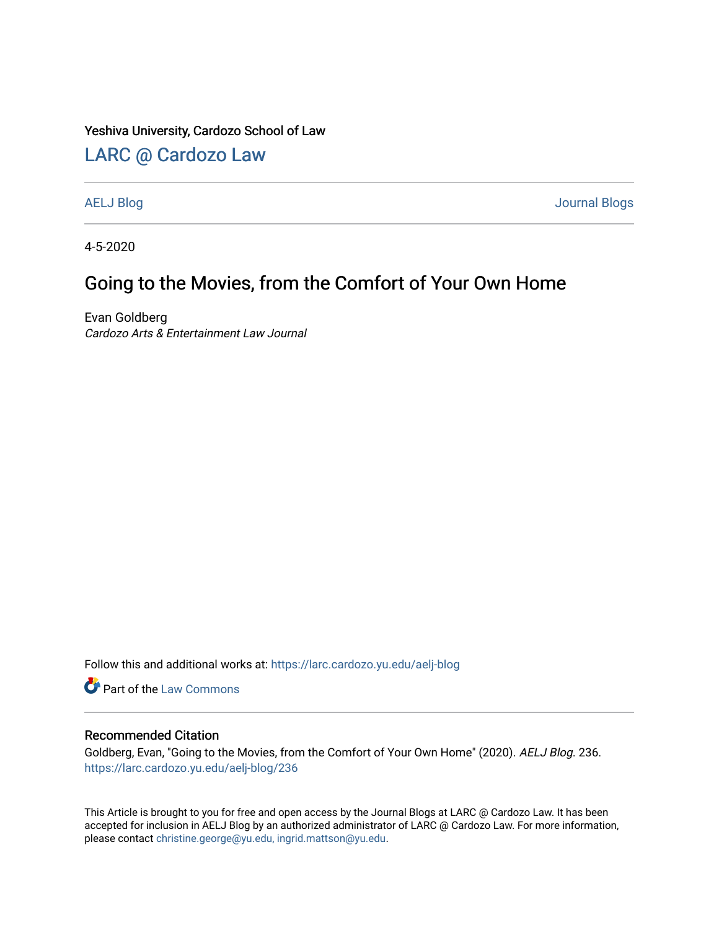### Yeshiva University, Cardozo School of Law

### [LARC @ Cardozo Law](https://larc.cardozo.yu.edu/)

[AELJ Blog](https://larc.cardozo.yu.edu/aelj-blog) [Journal Blogs](https://larc.cardozo.yu.edu/journal-blogs) 

4-5-2020

## Going to the Movies, from the Comfort of Your Own Home

Evan Goldberg Cardozo Arts & Entertainment Law Journal

Follow this and additional works at: [https://larc.cardozo.yu.edu/aelj-blog](https://larc.cardozo.yu.edu/aelj-blog?utm_source=larc.cardozo.yu.edu%2Faelj-blog%2F236&utm_medium=PDF&utm_campaign=PDFCoverPages) 

Part of the [Law Commons](http://network.bepress.com/hgg/discipline/578?utm_source=larc.cardozo.yu.edu%2Faelj-blog%2F236&utm_medium=PDF&utm_campaign=PDFCoverPages)

#### Recommended Citation

Goldberg, Evan, "Going to the Movies, from the Comfort of Your Own Home" (2020). AELJ Blog. 236. [https://larc.cardozo.yu.edu/aelj-blog/236](https://larc.cardozo.yu.edu/aelj-blog/236?utm_source=larc.cardozo.yu.edu%2Faelj-blog%2F236&utm_medium=PDF&utm_campaign=PDFCoverPages) 

This Article is brought to you for free and open access by the Journal Blogs at LARC @ Cardozo Law. It has been accepted for inclusion in AELJ Blog by an authorized administrator of LARC @ Cardozo Law. For more information, please contact [christine.george@yu.edu, ingrid.mattson@yu.edu.](mailto:christine.george@yu.edu,%20ingrid.mattson@yu.edu)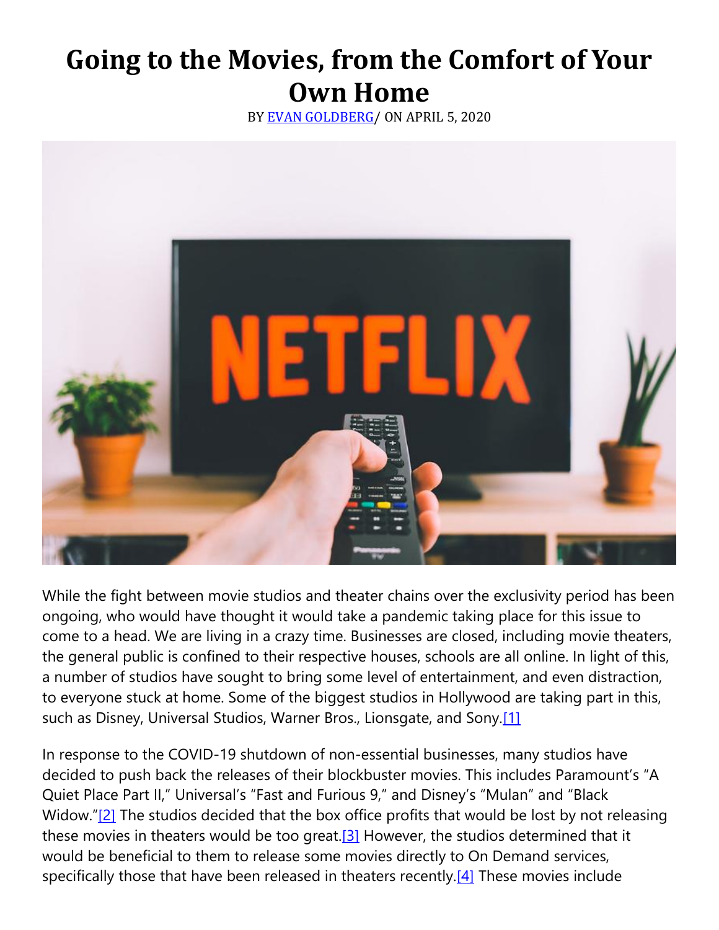# **Going to the Movies, from the Comfort of Your Own Home**

BY [EVAN GOLDBERG/](https://cardozoaelj.com/author/evan-goldberg/) ON APRIL 5, 2020



While the fight between movie studios and theater chains over the exclusivity period has been ongoing, who would have thought it would take a pandemic taking place for this issue to come to a head. We are living in a crazy time. Businesses are closed, including movie theaters, the general public is confined to their respective houses, schools are all online. In light of this, a number of studios have sought to bring some level of entertainment, and even distraction, to everyone stuck at home. Some of the biggest studios in Hollywood are taking part in this, such as Disney, Universal Studios, Warner Bros., Lionsgate, and Sony.<sup>[1]</sup>

In response to the COVID-19 shutdown of non-essential businesses, many studios have decided to push back the releases of their blockbuster movies. This includes Paramount's "A Quiet Place Part II," Universal's "Fast and Furious 9," and Disney's "Mulan" and "Black Widow."[\[2\]](https://cardozoaelj.com/2020/04/05/going-to-the-movies/#_ftn2) The studios decided that the box office profits that would be lost by not releasing these movies in theaters would be too great.<sup>[3]</sup> However, the studios determined that it would be beneficial to them to release some movies directly to On Demand services, specifically those that have been released in theaters recently. $[4]$  These movies include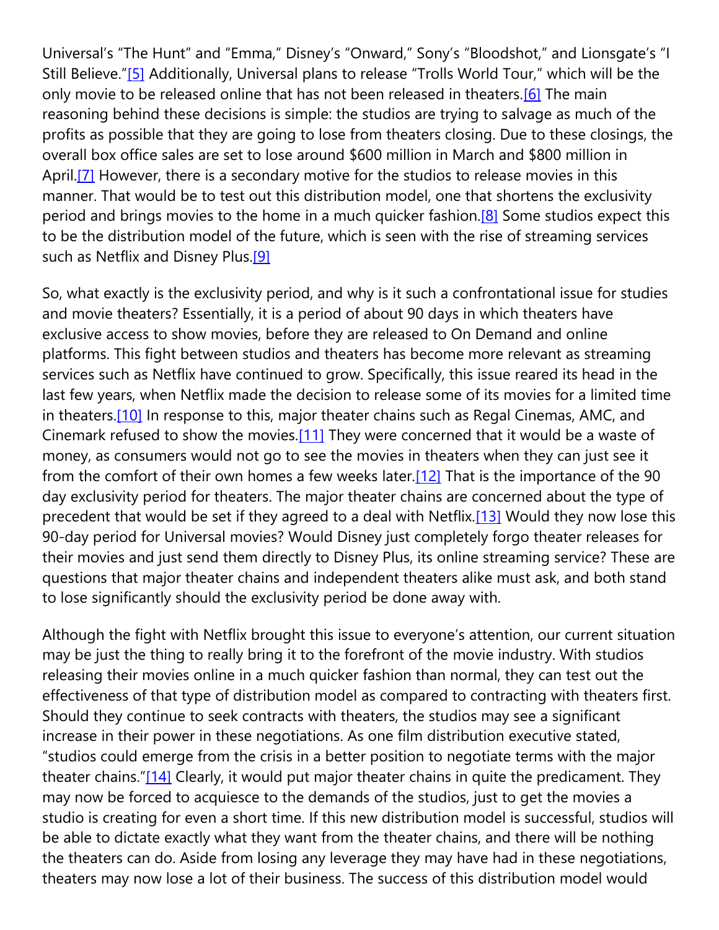Universal's "The Hunt" and "Emma," Disney's "Onward," Sony's "Bloodshot," and Lionsgate's "I Still Believe."[\[5\]](https://cardozoaelj.com/2020/04/05/going-to-the-movies/#_ftn5) Additionally, Universal plans to release "Trolls World Tour," which will be the only movie to be released online that has not been released in theaters.<sup>[6]</sup> The main reasoning behind these decisions is simple: the studios are trying to salvage as much of the profits as possible that they are going to lose from theaters closing. Due to these closings, the overall box office sales are set to lose around \$600 million in March and \$800 million in April.<sup>[7]</sup> However, there is a secondary motive for the studios to release movies in this manner. That would be to test out this distribution model, one that shortens the exclusivity period and brings movies to the home in a much quicker fashion[.\[8\]](https://cardozoaelj.com/2020/04/05/going-to-the-movies/#_ftn8) Some studios expect this to be the distribution model of the future, which is seen with the rise of streaming services such as Netflix and Disney Plus[.\[9\]](https://cardozoaelj.com/2020/04/05/going-to-the-movies/#_ftn9)

So, what exactly is the exclusivity period, and why is it such a confrontational issue for studies and movie theaters? Essentially, it is a period of about 90 days in which theaters have exclusive access to show movies, before they are released to On Demand and online platforms. This fight between studios and theaters has become more relevant as streaming services such as Netflix have continued to grow. Specifically, this issue reared its head in the last few years, when Netflix made the decision to release some of its movies for a limited time in theaters.<sup>[10]</sup> In response to this, major theater chains such as Regal Cinemas, AMC, and Cinemark refused to show the movies[.\[11\]](https://cardozoaelj.com/2020/04/05/going-to-the-movies/#_ftn11) They were concerned that it would be a waste of money, as consumers would not go to see the movies in theaters when they can just see it from the comfort of their own homes a few weeks later[.\[12\]](https://cardozoaelj.com/2020/04/05/going-to-the-movies/#_ftn12) That is the importance of the 90 day exclusivity period for theaters. The major theater chains are concerned about the type of precedent that would be set if they agreed to a deal with Netflix[.\[13\]](https://cardozoaelj.com/2020/04/05/going-to-the-movies/#_ftn13) Would they now lose this 90-day period for Universal movies? Would Disney just completely forgo theater releases for their movies and just send them directly to Disney Plus, its online streaming service? These are questions that major theater chains and independent theaters alike must ask, and both stand to lose significantly should the exclusivity period be done away with.

Although the fight with Netflix brought this issue to everyone's attention, our current situation may be just the thing to really bring it to the forefront of the movie industry. With studios releasing their movies online in a much quicker fashion than normal, they can test out the effectiveness of that type of distribution model as compared to contracting with theaters first. Should they continue to seek contracts with theaters, the studios may see a significant increase in their power in these negotiations. As one film distribution executive stated, "studios could emerge from the crisis in a better position to negotiate terms with the major theater chains."[\[14\]](https://cardozoaelj.com/2020/04/05/going-to-the-movies/#_ftn14) Clearly, it would put major theater chains in quite the predicament. They may now be forced to acquiesce to the demands of the studios, just to get the movies a studio is creating for even a short time. If this new distribution model is successful, studios will be able to dictate exactly what they want from the theater chains, and there will be nothing the theaters can do. Aside from losing any leverage they may have had in these negotiations, theaters may now lose a lot of their business. The success of this distribution model would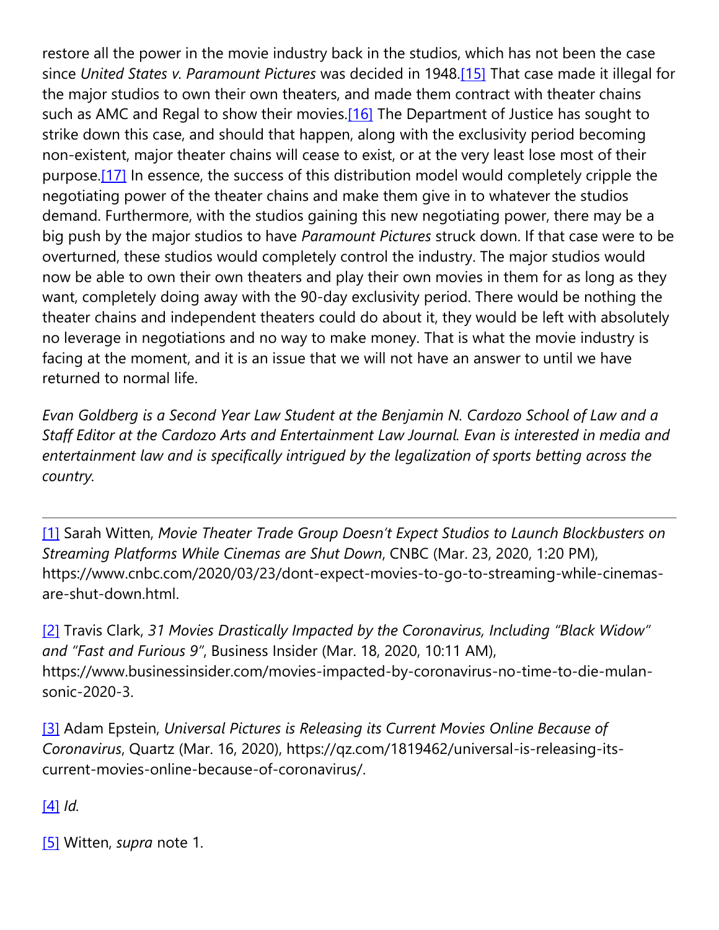restore all the power in the movie industry back in the studios, which has not been the case since *United States v. Paramount Pictures* was decided in 1948[.\[15\]](https://cardozoaelj.com/2020/04/05/going-to-the-movies/#_ftn15) That case made it illegal for the major studios to own their own theaters, and made them contract with theater chains such as AMC and Regal to show their movies.<sup>[16]</sup> The Department of Justice has sought to strike down this case, and should that happen, along with the exclusivity period becoming non-existent, major theater chains will cease to exist, or at the very least lose most of their purpose[.\[17\]](https://cardozoaelj.com/2020/04/05/going-to-the-movies/#_ftn17) In essence, the success of this distribution model would completely cripple the negotiating power of the theater chains and make them give in to whatever the studios demand. Furthermore, with the studios gaining this new negotiating power, there may be a big push by the major studios to have *Paramount Pictures* struck down. If that case were to be overturned, these studios would completely control the industry. The major studios would now be able to own their own theaters and play their own movies in them for as long as they want, completely doing away with the 90-day exclusivity period. There would be nothing the theater chains and independent theaters could do about it, they would be left with absolutely no leverage in negotiations and no way to make money. That is what the movie industry is facing at the moment, and it is an issue that we will not have an answer to until we have returned to normal life.

*Evan Goldberg is a Second Year Law Student at the Benjamin N. Cardozo School of Law and a Staff Editor at the Cardozo Arts and Entertainment Law Journal. Evan is interested in media and entertainment law and is specifically intrigued by the legalization of sports betting across the country.*

[\[1\]](https://cardozoaelj.com/2020/04/05/going-to-the-movies/#_ftnref1) Sarah Witten, *Movie Theater Trade Group Doesn't Expect Studios to Launch Blockbusters on Streaming Platforms While Cinemas are Shut Down*, CNBC (Mar. 23, 2020, 1:20 PM), https://www.cnbc.com/2020/03/23/dont-expect-movies-to-go-to-streaming-while-cinemasare-shut-down.html.

[\[2\]](https://cardozoaelj.com/2020/04/05/going-to-the-movies/#_ftnref2) Travis Clark, *31 Movies Drastically Impacted by the Coronavirus, Including "Black Widow" and "Fast and Furious 9"*, Business Insider (Mar. 18, 2020, 10:11 AM), https://www.businessinsider.com/movies-impacted-by-coronavirus-no-time-to-die-mulansonic-2020-3.

[\[3\]](https://cardozoaelj.com/2020/04/05/going-to-the-movies/#_ftnref3) Adam Epstein, *Universal Pictures is Releasing its Current Movies Online Because of Coronavirus*, Quartz (Mar. 16, 2020), https://qz.com/1819462/universal-is-releasing-itscurrent-movies-online-because-of-coronavirus/.

[\[4\]](https://cardozoaelj.com/2020/04/05/going-to-the-movies/#_ftnref4) *Id.*

[\[5\]](https://cardozoaelj.com/2020/04/05/going-to-the-movies/#_ftnref5) Witten, *supra* note 1.